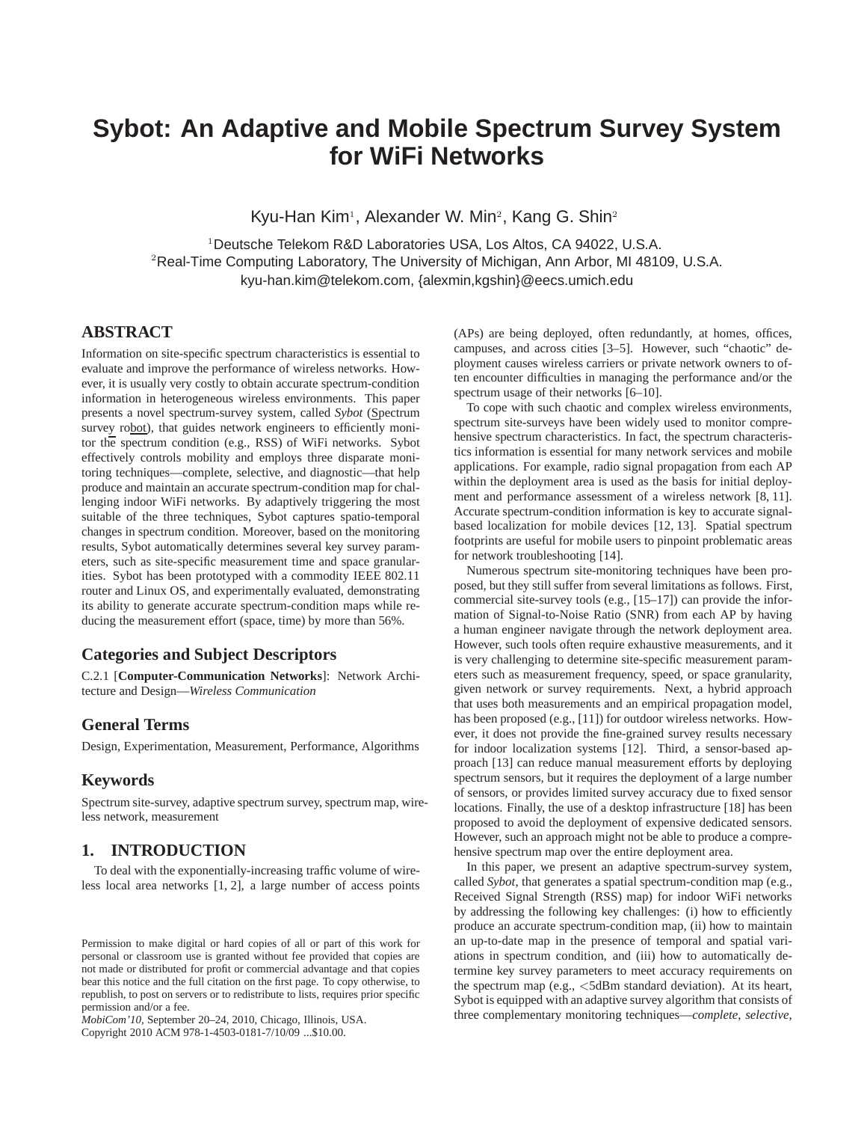# **Sybot: An Adaptive and Mobile Spectrum Survey System for WiFi Networks**

Kyu-Han Kim<sup>1</sup>, Alexander W. Min<sup>2</sup>, Kang G. Shin<sup>2</sup>

<sup>1</sup>Deutsche Telekom R&D Laboratories USA, Los Altos, CA 94022, U.S.A. <sup>2</sup>Real-Time Computing Laboratory, The University of Michigan, Ann Arbor, MI 48109, U.S.A. kyu-han.kim@telekom.com, {alexmin,kgshin}@eecs.umich.edu

## **ABSTRACT**

Information on site-specific spectrum characteristics is essential to evaluate and improve the performance of wireless networks. However, it is usually very costly to obtain accurate spectrum-condition information in heterogeneous wireless environments. This paper presents a novel spectrum-survey system, called *Sybot* (Spectrum survey robot), that guides network engineers to efficiently monitor the spectrum condition (e.g., RSS) of WiFi networks. Sybot effectively controls mobility and employs three disparate monitoring techniques—complete, selective, and diagnostic—that help produce and maintain an accurate spectrum-condition map for challenging indoor WiFi networks. By adaptively triggering the most suitable of the three techniques, Sybot captures spatio-temporal changes in spectrum condition. Moreover, based on the monitoring results, Sybot automatically determines several key survey parameters, such as site-specific measurement time and space granularities. Sybot has been prototyped with a commodity IEEE 802.11 router and Linux OS, and experimentally evaluated, demonstrating its ability to generate accurate spectrum-condition maps while reducing the measurement effort (space, time) by more than 56%.

## **Categories and Subject Descriptors**

C.2.1 [**Computer-Communication Networks**]: Network Architecture and Design—*Wireless Communication*

#### **General Terms**

Design, Experimentation, Measurement, Performance, Algorithms

#### **Keywords**

Spectrum site-survey, adaptive spectrum survey, spectrum map, wireless network, measurement

# **1. INTRODUCTION**

To deal with the exponentially-increasing traffic volume of wireless local area networks [1, 2], a large number of access points

*MobiCom'10,* September 20–24, 2010, Chicago, Illinois, USA. Copyright 2010 ACM 978-1-4503-0181-7/10/09 ...\$10.00.

(APs) are being deployed, often redundantly, at homes, offices, campuses, and across cities [3–5]. However, such "chaotic" deployment causes wireless carriers or private network owners to often encounter difficulties in managing the performance and/or the spectrum usage of their networks [6–10].

To cope with such chaotic and complex wireless environments, spectrum site-surveys have been widely used to monitor comprehensive spectrum characteristics. In fact, the spectrum characteristics information is essential for many network services and mobile applications. For example, radio signal propagation from each AP within the deployment area is used as the basis for initial deployment and performance assessment of a wireless network [8, 11]. Accurate spectrum-condition information is key to accurate signalbased localization for mobile devices [12, 13]. Spatial spectrum footprints are useful for mobile users to pinpoint problematic areas for network troubleshooting [14].

Numerous spectrum site-monitoring techniques have been proposed, but they still suffer from several limitations as follows. First, commercial site-survey tools (e.g., [15–17]) can provide the information of Signal-to-Noise Ratio (SNR) from each AP by having a human engineer navigate through the network deployment area. However, such tools often require exhaustive measurements, and it is very challenging to determine site-specific measurement parameters such as measurement frequency, speed, or space granularity, given network or survey requirements. Next, a hybrid approach that uses both measurements and an empirical propagation model, has been proposed (e.g., [11]) for outdoor wireless networks. However, it does not provide the fine-grained survey results necessary for indoor localization systems [12]. Third, a sensor-based approach [13] can reduce manual measurement efforts by deploying spectrum sensors, but it requires the deployment of a large number of sensors, or provides limited survey accuracy due to fixed sensor locations. Finally, the use of a desktop infrastructure [18] has been proposed to avoid the deployment of expensive dedicated sensors. However, such an approach might not be able to produce a comprehensive spectrum map over the entire deployment area.

In this paper, we present an adaptive spectrum-survey system, called *Sybot*, that generates a spatial spectrum-condition map (e.g., Received Signal Strength (RSS) map) for indoor WiFi networks by addressing the following key challenges: (i) how to efficiently produce an accurate spectrum-condition map, (ii) how to maintain an up-to-date map in the presence of temporal and spatial variations in spectrum condition, and (iii) how to automatically determine key survey parameters to meet accuracy requirements on the spectrum map (e.g.,  $\lt$ 5dBm standard deviation). At its heart, Sybot is equipped with an adaptive survey algorithm that consists of three complementary monitoring techniques—*complete*, *selective*,

Permission to make digital or hard copies of all or part of this work for personal or classroom use is granted without fee provided that copies are not made or distributed for profit or commercial advantage and that copies bear this notice and the full citation on the first page. To copy otherwise, to republish, to post on servers or to redistribute to lists, requires prior specific permission and/or a fee.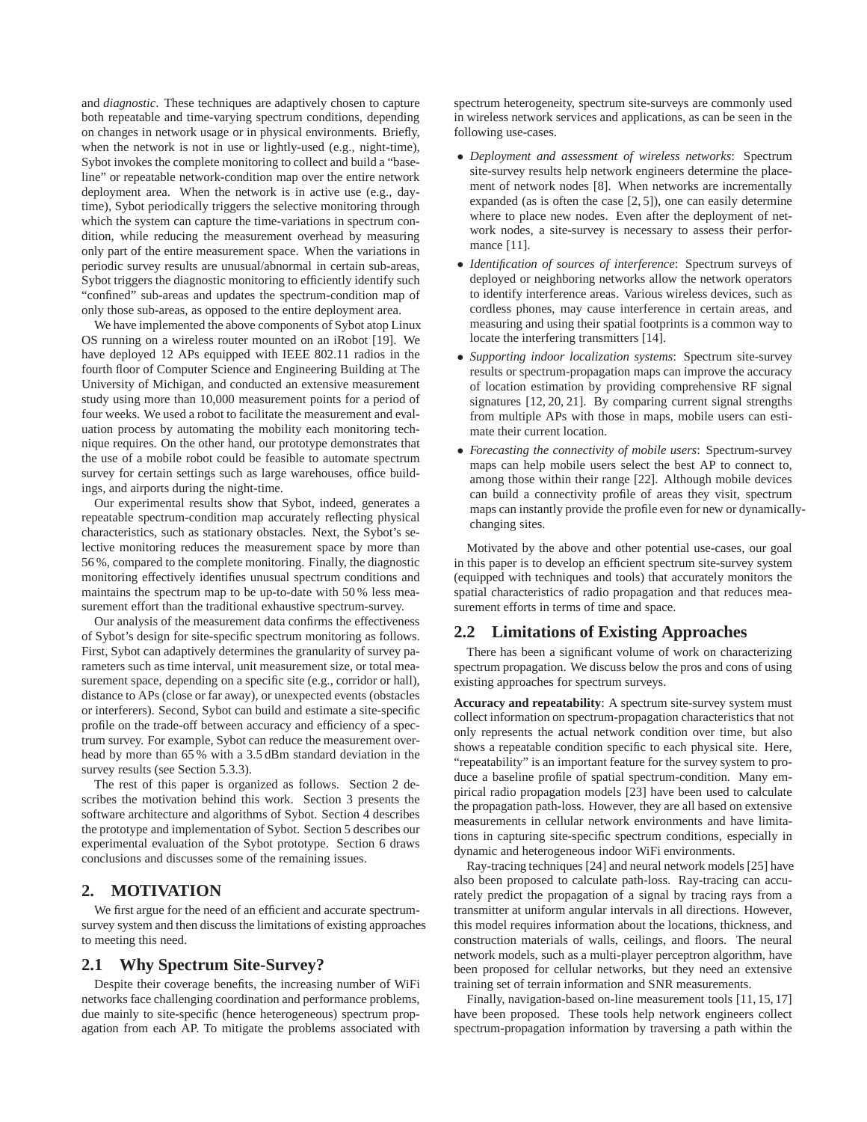and *diagnostic*. These techniques are adaptively chosen to capture both repeatable and time-varying spectrum conditions, depending on changes in network usage or in physical environments. Briefly, when the network is not in use or lightly-used (e.g., night-time), Sybot invokes the complete monitoring to collect and build a "baseline" or repeatable network-condition map over the entire network deployment area. When the network is in active use (e.g., daytime), Sybot periodically triggers the selective monitoring through which the system can capture the time-variations in spectrum condition, while reducing the measurement overhead by measuring only part of the entire measurement space. When the variations in periodic survey results are unusual/abnormal in certain sub-areas, Sybot triggers the diagnostic monitoring to efficiently identify such "confined" sub-areas and updates the spectrum-condition map of only those sub-areas, as opposed to the entire deployment area.

We have implemented the above components of Sybot atop Linux OS running on a wireless router mounted on an iRobot [19]. We have deployed 12 APs equipped with IEEE 802.11 radios in the fourth floor of Computer Science and Engineering Building at The University of Michigan, and conducted an extensive measurement study using more than 10,000 measurement points for a period of four weeks. We used a robot to facilitate the measurement and evaluation process by automating the mobility each monitoring technique requires. On the other hand, our prototype demonstrates that the use of a mobile robot could be feasible to automate spectrum survey for certain settings such as large warehouses, office buildings, and airports during the night-time.

Our experimental results show that Sybot, indeed, generates a repeatable spectrum-condition map accurately reflecting physical characteristics, such as stationary obstacles. Next, the Sybot's selective monitoring reduces the measurement space by more than 56 %, compared to the complete monitoring. Finally, the diagnostic monitoring effectively identifies unusual spectrum conditions and maintains the spectrum map to be up-to-date with 50 % less measurement effort than the traditional exhaustive spectrum-survey.

Our analysis of the measurement data confirms the effectiveness of Sybot's design for site-specific spectrum monitoring as follows. First, Sybot can adaptively determines the granularity of survey parameters such as time interval, unit measurement size, or total measurement space, depending on a specific site (e.g., corridor or hall), distance to APs (close or far away), or unexpected events (obstacles or interferers). Second, Sybot can build and estimate a site-specific profile on the trade-off between accuracy and efficiency of a spectrum survey. For example, Sybot can reduce the measurement overhead by more than 65 % with a 3.5 dBm standard deviation in the survey results (see Section 5.3.3).

The rest of this paper is organized as follows. Section 2 describes the motivation behind this work. Section 3 presents the software architecture and algorithms of Sybot. Section 4 describes the prototype and implementation of Sybot. Section 5 describes our experimental evaluation of the Sybot prototype. Section 6 draws conclusions and discusses some of the remaining issues.

#### **2. MOTIVATION**

We first argue for the need of an efficient and accurate spectrumsurvey system and then discuss the limitations of existing approaches to meeting this need.

## **2.1 Why Spectrum Site-Survey?**

Despite their coverage benefits, the increasing number of WiFi networks face challenging coordination and performance problems, due mainly to site-specific (hence heterogeneous) spectrum propagation from each AP. To mitigate the problems associated with spectrum heterogeneity, spectrum site-surveys are commonly used in wireless network services and applications, as can be seen in the following use-cases.

- *Deployment and assessment of wireless networks*: Spectrum site-survey results help network engineers determine the placement of network nodes [8]. When networks are incrementally expanded (as is often the case [2, 5]), one can easily determine where to place new nodes. Even after the deployment of network nodes, a site-survey is necessary to assess their performance [11].
- *Identification of sources of interference*: Spectrum surveys of deployed or neighboring networks allow the network operators to identify interference areas. Various wireless devices, such as cordless phones, may cause interference in certain areas, and measuring and using their spatial footprints is a common way to locate the interfering transmitters [14].
- *Supporting indoor localization systems*: Spectrum site-survey results or spectrum-propagation maps can improve the accuracy of location estimation by providing comprehensive RF signal signatures [12, 20, 21]. By comparing current signal strengths from multiple APs with those in maps, mobile users can estimate their current location.
- *Forecasting the connectivity of mobile users*: Spectrum-survey maps can help mobile users select the best AP to connect to, among those within their range [22]. Although mobile devices can build a connectivity profile of areas they visit, spectrum maps can instantly provide the profile even for new or dynamicallychanging sites.

Motivated by the above and other potential use-cases, our goal in this paper is to develop an efficient spectrum site-survey system (equipped with techniques and tools) that accurately monitors the spatial characteristics of radio propagation and that reduces measurement efforts in terms of time and space.

#### **2.2 Limitations of Existing Approaches**

There has been a significant volume of work on characterizing spectrum propagation. We discuss below the pros and cons of using existing approaches for spectrum surveys.

**Accuracy and repeatability**: A spectrum site-survey system must collect information on spectrum-propagation characteristics that not only represents the actual network condition over time, but also shows a repeatable condition specific to each physical site. Here, "repeatability" is an important feature for the survey system to produce a baseline profile of spatial spectrum-condition. Many empirical radio propagation models [23] have been used to calculate the propagation path-loss. However, they are all based on extensive measurements in cellular network environments and have limitations in capturing site-specific spectrum conditions, especially in dynamic and heterogeneous indoor WiFi environments.

Ray-tracing techniques [24] and neural network models [25] have also been proposed to calculate path-loss. Ray-tracing can accurately predict the propagation of a signal by tracing rays from a transmitter at uniform angular intervals in all directions. However, this model requires information about the locations, thickness, and construction materials of walls, ceilings, and floors. The neural network models, such as a multi-player perceptron algorithm, have been proposed for cellular networks, but they need an extensive training set of terrain information and SNR measurements.

Finally, navigation-based on-line measurement tools [11, 15, 17] have been proposed. These tools help network engineers collect spectrum-propagation information by traversing a path within the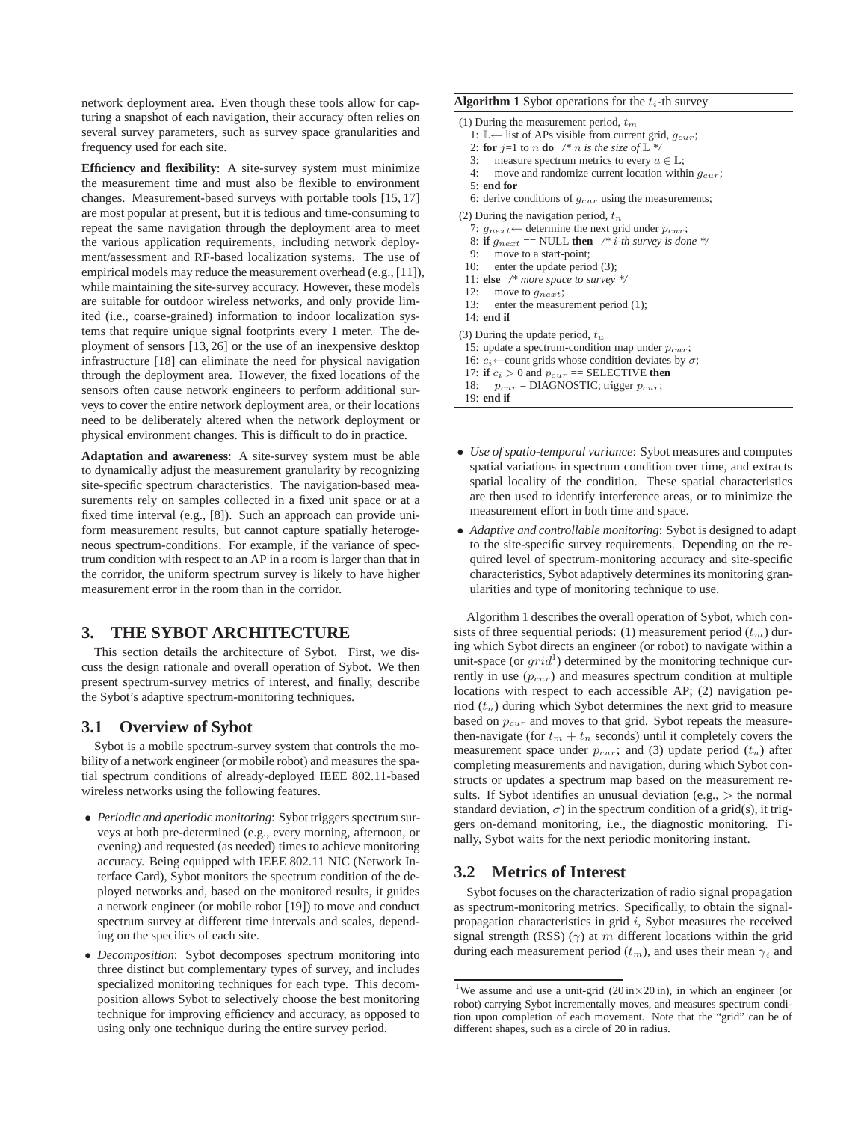network deployment area. Even though these tools allow for capturing a snapshot of each navigation, their accuracy often relies on several survey parameters, such as survey space granularities and frequency used for each site.

**Efficiency and flexibility**: A site-survey system must minimize the measurement time and must also be flexible to environment changes. Measurement-based surveys with portable tools [15, 17] are most popular at present, but it is tedious and time-consuming to repeat the same navigation through the deployment area to meet the various application requirements, including network deployment/assessment and RF-based localization systems. The use of empirical models may reduce the measurement overhead (e.g., [11]), while maintaining the site-survey accuracy. However, these models are suitable for outdoor wireless networks, and only provide limited (i.e., coarse-grained) information to indoor localization systems that require unique signal footprints every 1 meter. The deployment of sensors [13, 26] or the use of an inexpensive desktop infrastructure [18] can eliminate the need for physical navigation through the deployment area. However, the fixed locations of the sensors often cause network engineers to perform additional surveys to cover the entire network deployment area, or their locations need to be deliberately altered when the network deployment or physical environment changes. This is difficult to do in practice.

**Adaptation and awareness**: A site-survey system must be able to dynamically adjust the measurement granularity by recognizing site-specific spectrum characteristics. The navigation-based measurements rely on samples collected in a fixed unit space or at a fixed time interval (e.g., [8]). Such an approach can provide uniform measurement results, but cannot capture spatially heterogeneous spectrum-conditions. For example, if the variance of spectrum condition with respect to an AP in a room is larger than that in the corridor, the uniform spectrum survey is likely to have higher measurement error in the room than in the corridor.

## **3. THE SYBOT ARCHITECTURE**

This section details the architecture of Sybot. First, we discuss the design rationale and overall operation of Sybot. We then present spectrum-survey metrics of interest, and finally, describe the Sybot's adaptive spectrum-monitoring techniques.

## **3.1 Overview of Sybot**

Sybot is a mobile spectrum-survey system that controls the mobility of a network engineer (or mobile robot) and measures the spatial spectrum conditions of already-deployed IEEE 802.11-based wireless networks using the following features.

- *Periodic and aperiodic monitoring*: Sybot triggers spectrum surveys at both pre-determined (e.g., every morning, afternoon, or evening) and requested (as needed) times to achieve monitoring accuracy. Being equipped with IEEE 802.11 NIC (Network Interface Card), Sybot monitors the spectrum condition of the deployed networks and, based on the monitored results, it guides a network engineer (or mobile robot [19]) to move and conduct spectrum survey at different time intervals and scales, depending on the specifics of each site.
- *Decomposition*: Sybot decomposes spectrum monitoring into three distinct but complementary types of survey, and includes specialized monitoring techniques for each type. This decomposition allows Sybot to selectively choose the best monitoring technique for improving efficiency and accuracy, as opposed to using only one technique during the entire survey period.

## **Algorithm 1** Sybot operations for the  $t_i$ -th survey

| (1) During the measurement period, $t_m$<br>1: L← list of APs visible from current grid, $q_{cur}$ ;<br>2: for j=1 to n do $\n  \  \, \forall n$ is the size of $\mathbb{L} \times$<br>3: measure spectrum metrics to every $a \in \mathbb{L}$ ;<br>4: move and randomize current location within $g_{cur}$ ; |
|---------------------------------------------------------------------------------------------------------------------------------------------------------------------------------------------------------------------------------------------------------------------------------------------------------------|
| 5: end for                                                                                                                                                                                                                                                                                                    |
| 6: derive conditions of $g_{cur}$ using the measurements;                                                                                                                                                                                                                                                     |
| (2) During the navigation period, $t_n$<br>7: $q_{next} \leftarrow$ determine the next grid under $p_{cur}$ ;                                                                                                                                                                                                 |
| 8: if $g_{next}$ = NULL then /* <i>i</i> -th survey is done */                                                                                                                                                                                                                                                |
| 9: move to a start-point;                                                                                                                                                                                                                                                                                     |
| 10: enter the update period $(3)$ ;                                                                                                                                                                                                                                                                           |
| 11: else /* more space to survey */                                                                                                                                                                                                                                                                           |
| 12: move to $g_{next}$ ;                                                                                                                                                                                                                                                                                      |
| 13: enter the measurement period (1);                                                                                                                                                                                                                                                                         |
| $14$ end if                                                                                                                                                                                                                                                                                                   |
| (3) During the update period, $t_u$                                                                                                                                                                                                                                                                           |
| 15: update a spectrum-condition map under $p_{cur}$ ;                                                                                                                                                                                                                                                         |
| 16: $c_i$ – count grids whose condition deviates by $\sigma$ ;                                                                                                                                                                                                                                                |
| 17: if $c_i > 0$ and $p_{cur} =$ SELECTIVE then                                                                                                                                                                                                                                                               |
| 18: $p_{cur} = \text{DIAGNOSTIC};$ trigger $p_{cur};$                                                                                                                                                                                                                                                         |
| $19:$ end if                                                                                                                                                                                                                                                                                                  |
|                                                                                                                                                                                                                                                                                                               |

- *Use of spatio-temporal variance*: Sybot measures and computes spatial variations in spectrum condition over time, and extracts spatial locality of the condition. These spatial characteristics are then used to identify interference areas, or to minimize the measurement effort in both time and space.
- *Adaptive and controllable monitoring*: Sybot is designed to adapt to the site-specific survey requirements. Depending on the required level of spectrum-monitoring accuracy and site-specific characteristics, Sybot adaptively determines its monitoring granularities and type of monitoring technique to use.

Algorithm 1 describes the overall operation of Sybot, which consists of three sequential periods: (1) measurement period  $(t_m)$  during which Sybot directs an engineer (or robot) to navigate within a unit-space (or  $grid^1$ ) determined by the monitoring technique currently in use  $(p_{cur})$  and measures spectrum condition at multiple locations with respect to each accessible AP; (2) navigation period  $(t_n)$  during which Sybot determines the next grid to measure based on  $p_{cur}$  and moves to that grid. Sybot repeats the measurethen-navigate (for  $t_m + t_n$  seconds) until it completely covers the measurement space under  $p_{cur}$ ; and (3) update period  $(t<sub>u</sub>)$  after completing measurements and navigation, during which Sybot constructs or updates a spectrum map based on the measurement results. If Sybot identifies an unusual deviation (e.g.,  $>$  the normal standard deviation,  $\sigma$ ) in the spectrum condition of a grid(s), it triggers on-demand monitoring, i.e., the diagnostic monitoring. Finally, Sybot waits for the next periodic monitoring instant.

## **3.2 Metrics of Interest**

Sybot focuses on the characterization of radio signal propagation as spectrum-monitoring metrics. Specifically, to obtain the signalpropagation characteristics in grid  $i$ , Sybot measures the received signal strength (RSS) ( $\gamma$ ) at m different locations within the grid during each measurement period  $(t_m)$ , and uses their mean  $\overline{\gamma}_i$  and

<sup>&</sup>lt;sup>1</sup>We assume and use a unit-grid (20 in  $\times$  20 in), in which an engineer (or robot) carrying Sybot incrementally moves, and measures spectrum condition upon completion of each movement. Note that the "grid" can be of different shapes, such as a circle of 20 in radius.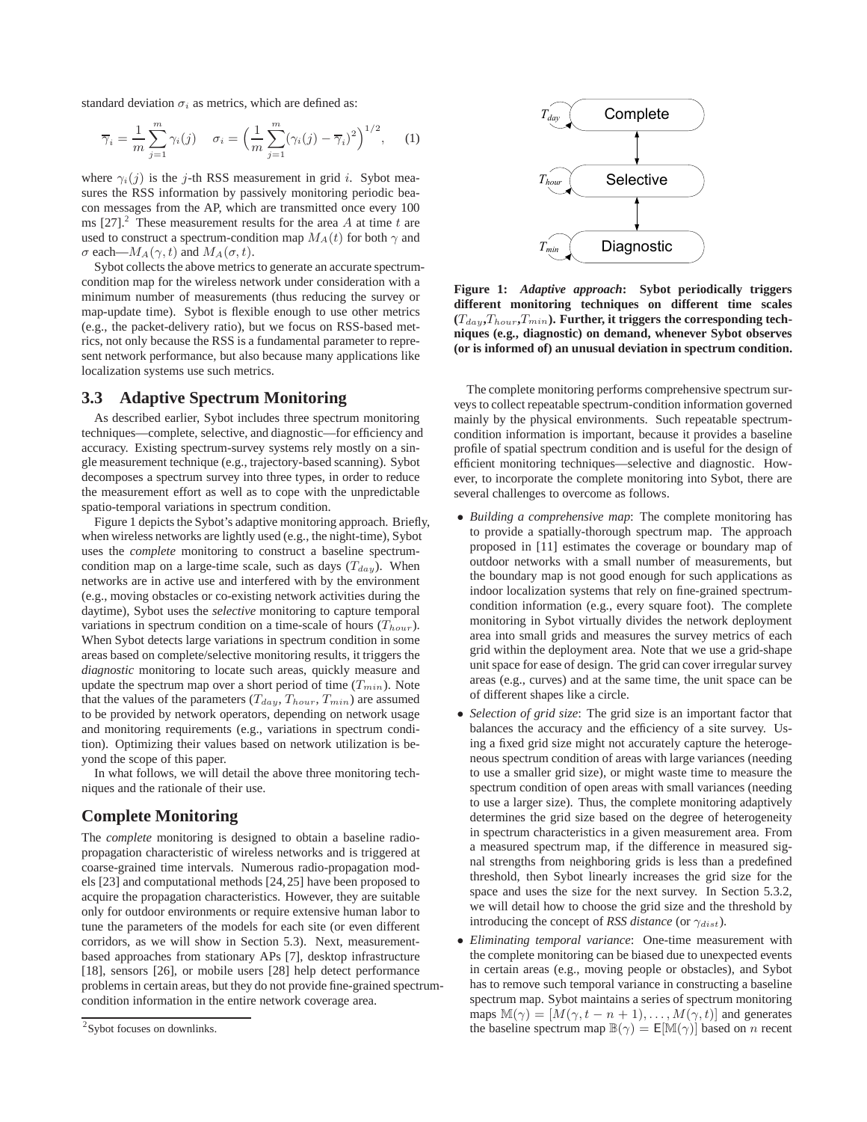standard deviation  $\sigma_i$  as metrics, which are defined as:

$$
\overline{\gamma}_i = \frac{1}{m} \sum_{j=1}^m \gamma_i(j) \quad \sigma_i = \left(\frac{1}{m} \sum_{j=1}^m (\gamma_i(j) - \overline{\gamma}_i)^2\right)^{1/2}, \quad (1)
$$

where  $\gamma_i(j)$  is the j-th RSS measurement in grid i. Sybot measures the RSS information by passively monitoring periodic beacon messages from the AP, which are transmitted once every 100 ms  $[27]$ <sup>2</sup>. These measurement results for the area A at time t are used to construct a spectrum-condition map  $M_A(t)$  for both  $\gamma$  and  $\sigma$  each— $M_A(\gamma, t)$  and  $M_A(\sigma, t)$ .

Sybot collects the above metrics to generate an accurate spectrumcondition map for the wireless network under consideration with a minimum number of measurements (thus reducing the survey or map-update time). Sybot is flexible enough to use other metrics (e.g., the packet-delivery ratio), but we focus on RSS-based metrics, not only because the RSS is a fundamental parameter to represent network performance, but also because many applications like localization systems use such metrics.

#### **3.3 Adaptive Spectrum Monitoring**

As described earlier, Sybot includes three spectrum monitoring techniques—complete, selective, and diagnostic—for efficiency and accuracy. Existing spectrum-survey systems rely mostly on a single measurement technique (e.g., trajectory-based scanning). Sybot decomposes a spectrum survey into three types, in order to reduce the measurement effort as well as to cope with the unpredictable spatio-temporal variations in spectrum condition.

Figure 1 depicts the Sybot's adaptive monitoring approach. Briefly, when wireless networks are lightly used (e.g., the night-time), Sybot uses the *complete* monitoring to construct a baseline spectrumcondition map on a large-time scale, such as days  $(T_{day})$ . When networks are in active use and interfered with by the environment (e.g., moving obstacles or co-existing network activities during the daytime), Sybot uses the *selective* monitoring to capture temporal variations in spectrum condition on a time-scale of hours  $(T_{hour})$ . When Sybot detects large variations in spectrum condition in some areas based on complete/selective monitoring results, it triggers the *diagnostic* monitoring to locate such areas, quickly measure and update the spectrum map over a short period of time  $(T_{min})$ . Note that the values of the parameters  $(T_{day}, T_{hour}, T_{min})$  are assumed to be provided by network operators, depending on network usage and monitoring requirements (e.g., variations in spectrum condition). Optimizing their values based on network utilization is beyond the scope of this paper.

In what follows, we will detail the above three monitoring techniques and the rationale of their use.

#### **Complete Monitoring**

The *complete* monitoring is designed to obtain a baseline radiopropagation characteristic of wireless networks and is triggered at coarse-grained time intervals. Numerous radio-propagation models [23] and computational methods [24,25] have been proposed to acquire the propagation characteristics. However, they are suitable only for outdoor environments or require extensive human labor to tune the parameters of the models for each site (or even different corridors, as we will show in Section 5.3). Next, measurementbased approaches from stationary APs [7], desktop infrastructure [18], sensors [26], or mobile users [28] help detect performance problems in certain areas, but they do not provide fine-grained spectrumcondition information in the entire network coverage area.



**Figure 1:** *Adaptive approach***: Sybot periodically triggers different monitoring techniques on different time scales**  $(T_{day},T_{hour},T_{min})$ . Further, it triggers the corresponding tech**niques (e.g., diagnostic) on demand, whenever Sybot observes (or is informed of) an unusual deviation in spectrum condition.**

The complete monitoring performs comprehensive spectrum surveys to collect repeatable spectrum-condition information governed mainly by the physical environments. Such repeatable spectrumcondition information is important, because it provides a baseline profile of spatial spectrum condition and is useful for the design of efficient monitoring techniques—selective and diagnostic. However, to incorporate the complete monitoring into Sybot, there are several challenges to overcome as follows.

- *Building a comprehensive map*: The complete monitoring has to provide a spatially-thorough spectrum map. The approach proposed in [11] estimates the coverage or boundary map of outdoor networks with a small number of measurements, but the boundary map is not good enough for such applications as indoor localization systems that rely on fine-grained spectrumcondition information (e.g., every square foot). The complete monitoring in Sybot virtually divides the network deployment area into small grids and measures the survey metrics of each grid within the deployment area. Note that we use a grid-shape unit space for ease of design. The grid can cover irregular survey areas (e.g., curves) and at the same time, the unit space can be of different shapes like a circle.
- *Selection of grid size*: The grid size is an important factor that balances the accuracy and the efficiency of a site survey. Using a fixed grid size might not accurately capture the heterogeneous spectrum condition of areas with large variances (needing to use a smaller grid size), or might waste time to measure the spectrum condition of open areas with small variances (needing to use a larger size). Thus, the complete monitoring adaptively determines the grid size based on the degree of heterogeneity in spectrum characteristics in a given measurement area. From a measured spectrum map, if the difference in measured signal strengths from neighboring grids is less than a predefined threshold, then Sybot linearly increases the grid size for the space and uses the size for the next survey. In Section 5.3.2, we will detail how to choose the grid size and the threshold by introducing the concept of *RSS distance* (or  $\gamma_{dist}$ ).
- *Eliminating temporal variance*: One-time measurement with the complete monitoring can be biased due to unexpected events in certain areas (e.g., moving people or obstacles), and Sybot has to remove such temporal variance in constructing a baseline spectrum map. Sybot maintains a series of spectrum monitoring maps  $M(\gamma) = [M(\gamma, t - n + 1), \dots, M(\gamma, t)]$  and generates the baseline spectrum map  $\mathbb{B}(\gamma) = \mathbb{E}[\mathbb{M}(\gamma)]$  based on *n* recent

<sup>2</sup> Sybot focuses on downlinks.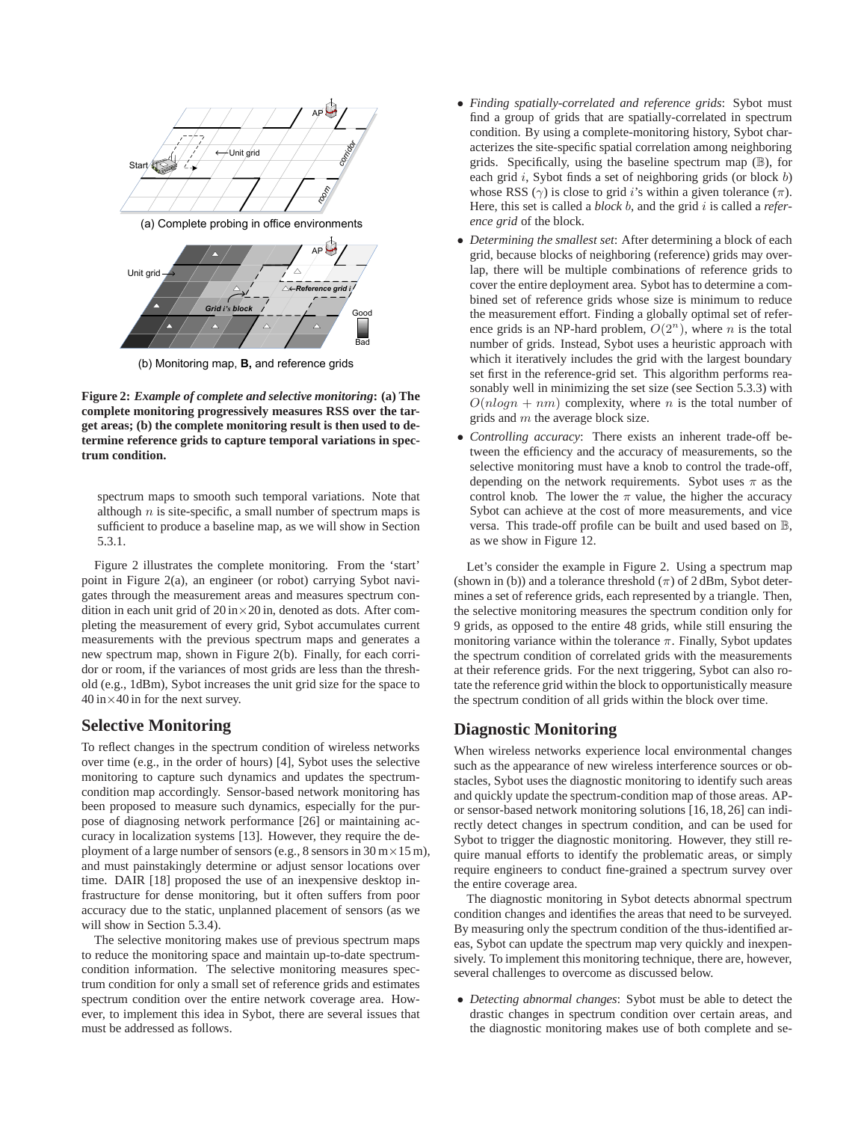

(b) Monitoring map, B, and reference grids

**Figure 2:** *Example of complete and selective monitoring***: (a) The complete monitoring progressively measures RSS over the target areas; (b) the complete monitoring result is then used to determine reference grids to capture temporal variations in spectrum condition.**

spectrum maps to smooth such temporal variations. Note that although  $n$  is site-specific, a small number of spectrum maps is sufficient to produce a baseline map, as we will show in Section 5.3.1.

Figure 2 illustrates the complete monitoring. From the 'start' point in Figure 2(a), an engineer (or robot) carrying Sybot navigates through the measurement areas and measures spectrum condition in each unit grid of  $20 \text{ in} \times 20 \text{ in}$ , denoted as dots. After completing the measurement of every grid, Sybot accumulates current measurements with the previous spectrum maps and generates a new spectrum map, shown in Figure 2(b). Finally, for each corridor or room, if the variances of most grids are less than the threshold (e.g., 1dBm), Sybot increases the unit grid size for the space to  $40 \text{ in} \times 40$  in for the next survey.

## **Selective Monitoring**

To reflect changes in the spectrum condition of wireless networks over time (e.g., in the order of hours) [4], Sybot uses the selective monitoring to capture such dynamics and updates the spectrumcondition map accordingly. Sensor-based network monitoring has been proposed to measure such dynamics, especially for the purpose of diagnosing network performance [26] or maintaining accuracy in localization systems [13]. However, they require the deployment of a large number of sensors (e.g., 8 sensors in  $30 \text{ m} \times 15 \text{ m}$ ), and must painstakingly determine or adjust sensor locations over time. DAIR [18] proposed the use of an inexpensive desktop infrastructure for dense monitoring, but it often suffers from poor accuracy due to the static, unplanned placement of sensors (as we will show in Section 5.3.4).

The selective monitoring makes use of previous spectrum maps to reduce the monitoring space and maintain up-to-date spectrumcondition information. The selective monitoring measures spectrum condition for only a small set of reference grids and estimates spectrum condition over the entire network coverage area. However, to implement this idea in Sybot, there are several issues that must be addressed as follows.

- *Finding spatially-correlated and reference grids*: Sybot must find a group of grids that are spatially-correlated in spectrum condition. By using a complete-monitoring history, Sybot characterizes the site-specific spatial correlation among neighboring grids. Specifically, using the baseline spectrum map (B), for each grid  $i$ , Sybot finds a set of neighboring grids (or block  $b$ ) whose RSS  $(\gamma)$  is close to grid *i*'s within a given tolerance  $(\pi)$ . Here, this set is called a *block* b, and the grid i is called a *reference grid* of the block.
- *Determining the smallest set*: After determining a block of each grid, because blocks of neighboring (reference) grids may overlap, there will be multiple combinations of reference grids to cover the entire deployment area. Sybot has to determine a combined set of reference grids whose size is minimum to reduce the measurement effort. Finding a globally optimal set of reference grids is an NP-hard problem,  $O(2^n)$ , where *n* is the total number of grids. Instead, Sybot uses a heuristic approach with which it iteratively includes the grid with the largest boundary set first in the reference-grid set. This algorithm performs reasonably well in minimizing the set size (see Section 5.3.3) with  $O(nlogn + nm)$  complexity, where n is the total number of grids and  $m$  the average block size.
- *Controlling accuracy*: There exists an inherent trade-off between the efficiency and the accuracy of measurements, so the selective monitoring must have a knob to control the trade-off, depending on the network requirements. Sybot uses  $\pi$  as the control knob. The lower the  $\pi$  value, the higher the accuracy Sybot can achieve at the cost of more measurements, and vice versa. This trade-off profile can be built and used based on B, as we show in Figure 12.

Let's consider the example in Figure 2. Using a spectrum map (shown in (b)) and a tolerance threshold  $(\pi)$  of 2 dBm, Sybot determines a set of reference grids, each represented by a triangle. Then, the selective monitoring measures the spectrum condition only for 9 grids, as opposed to the entire 48 grids, while still ensuring the monitoring variance within the tolerance  $\pi$ . Finally, Sybot updates the spectrum condition of correlated grids with the measurements at their reference grids. For the next triggering, Sybot can also rotate the reference grid within the block to opportunistically measure the spectrum condition of all grids within the block over time.

## **Diagnostic Monitoring**

When wireless networks experience local environmental changes such as the appearance of new wireless interference sources or obstacles, Sybot uses the diagnostic monitoring to identify such areas and quickly update the spectrum-condition map of those areas. APor sensor-based network monitoring solutions [16,18,26] can indirectly detect changes in spectrum condition, and can be used for Sybot to trigger the diagnostic monitoring. However, they still require manual efforts to identify the problematic areas, or simply require engineers to conduct fine-grained a spectrum survey over the entire coverage area.

The diagnostic monitoring in Sybot detects abnormal spectrum condition changes and identifies the areas that need to be surveyed. By measuring only the spectrum condition of the thus-identified areas, Sybot can update the spectrum map very quickly and inexpensively. To implement this monitoring technique, there are, however, several challenges to overcome as discussed below.

• *Detecting abnormal changes*: Sybot must be able to detect the drastic changes in spectrum condition over certain areas, and the diagnostic monitoring makes use of both complete and se-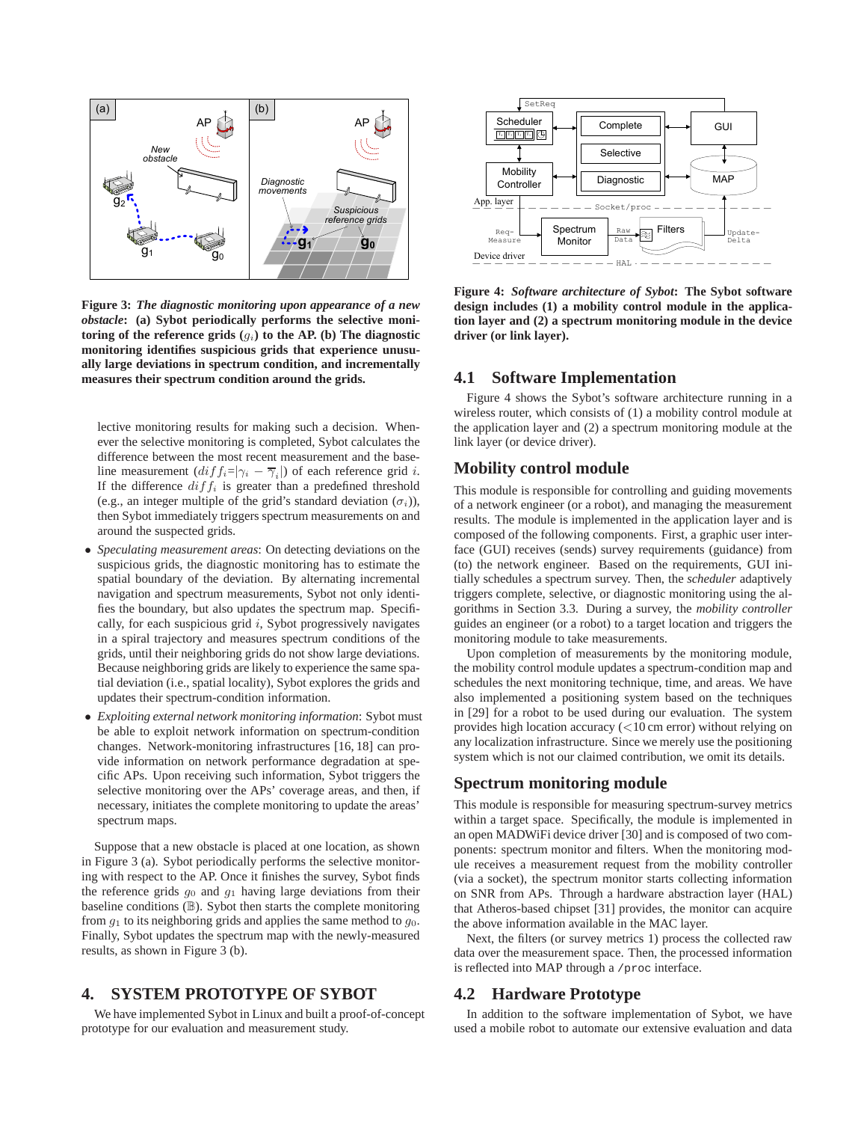

**Figure 3:** *The diagnostic monitoring upon appearance of a new obstacle***: (a) Sybot periodically performs the selective monitoring of the reference grids**  $(g_i)$  to the AP. (b) The diagnostic **monitoring identifies suspicious grids that experience unusually large deviations in spectrum condition, and incrementally measures their spectrum condition around the grids.**

lective monitoring results for making such a decision. Whenever the selective monitoring is completed, Sybot calculates the difference between the most recent measurement and the baseline measurement  $\left(\frac{di}{f_i} = |\gamma_i - \overline{\gamma}_i|\right)$  of each reference grid *i*. If the difference  $diff_i$  is greater than a predefined threshold (e.g., an integer multiple of the grid's standard deviation  $(\sigma_i)$ ), then Sybot immediately triggers spectrum measurements on and around the suspected grids.

- *Speculating measurement areas*: On detecting deviations on the suspicious grids, the diagnostic monitoring has to estimate the spatial boundary of the deviation. By alternating incremental navigation and spectrum measurements, Sybot not only identifies the boundary, but also updates the spectrum map. Specifically, for each suspicious grid  $i$ , Sybot progressively navigates in a spiral trajectory and measures spectrum conditions of the grids, until their neighboring grids do not show large deviations. Because neighboring grids are likely to experience the same spatial deviation (i.e., spatial locality), Sybot explores the grids and updates their spectrum-condition information.
- *Exploiting external network monitoring information*: Sybot must be able to exploit network information on spectrum-condition changes. Network-monitoring infrastructures [16, 18] can provide information on network performance degradation at specific APs. Upon receiving such information, Sybot triggers the selective monitoring over the APs' coverage areas, and then, if necessary, initiates the complete monitoring to update the areas' spectrum maps.

Suppose that a new obstacle is placed at one location, as shown in Figure 3 (a). Sybot periodically performs the selective monitoring with respect to the AP. Once it finishes the survey, Sybot finds the reference grids  $g_0$  and  $g_1$  having large deviations from their baseline conditions (B). Sybot then starts the complete monitoring from  $g_1$  to its neighboring grids and applies the same method to  $g_0$ . Finally, Sybot updates the spectrum map with the newly-measured results, as shown in Figure 3 (b).

## **4. SYSTEM PROTOTYPE OF SYBOT**

We have implemented Sybot in Linux and built a proof-of-concept prototype for our evaluation and measurement study.



**Figure 4:** *Software architecture of Sybot***: The Sybot software design includes (1) a mobility control module in the application layer and (2) a spectrum monitoring module in the device driver (or link layer).**

#### **4.1 Software Implementation**

Figure 4 shows the Sybot's software architecture running in a wireless router, which consists of (1) a mobility control module at the application layer and (2) a spectrum monitoring module at the link layer (or device driver).

#### **Mobility control module**

This module is responsible for controlling and guiding movements of a network engineer (or a robot), and managing the measurement results. The module is implemented in the application layer and is composed of the following components. First, a graphic user interface (GUI) receives (sends) survey requirements (guidance) from (to) the network engineer. Based on the requirements, GUI initially schedules a spectrum survey. Then, the *scheduler* adaptively triggers complete, selective, or diagnostic monitoring using the algorithms in Section 3.3. During a survey, the *mobility controller* guides an engineer (or a robot) to a target location and triggers the monitoring module to take measurements.

Upon completion of measurements by the monitoring module, the mobility control module updates a spectrum-condition map and schedules the next monitoring technique, time, and areas. We have also implemented a positioning system based on the techniques in [29] for a robot to be used during our evaluation. The system provides high location accuracy (<10 cm error) without relying on any localization infrastructure. Since we merely use the positioning system which is not our claimed contribution, we omit its details.

#### **Spectrum monitoring module**

This module is responsible for measuring spectrum-survey metrics within a target space. Specifically, the module is implemented in an open MADWiFi device driver [30] and is composed of two components: spectrum monitor and filters. When the monitoring module receives a measurement request from the mobility controller (via a socket), the spectrum monitor starts collecting information on SNR from APs. Through a hardware abstraction layer (HAL) that Atheros-based chipset [31] provides, the monitor can acquire the above information available in the MAC layer.

Next, the filters (or survey metrics 1) process the collected raw data over the measurement space. Then, the processed information is reflected into MAP through a /proc interface.

#### **4.2 Hardware Prototype**

In addition to the software implementation of Sybot, we have used a mobile robot to automate our extensive evaluation and data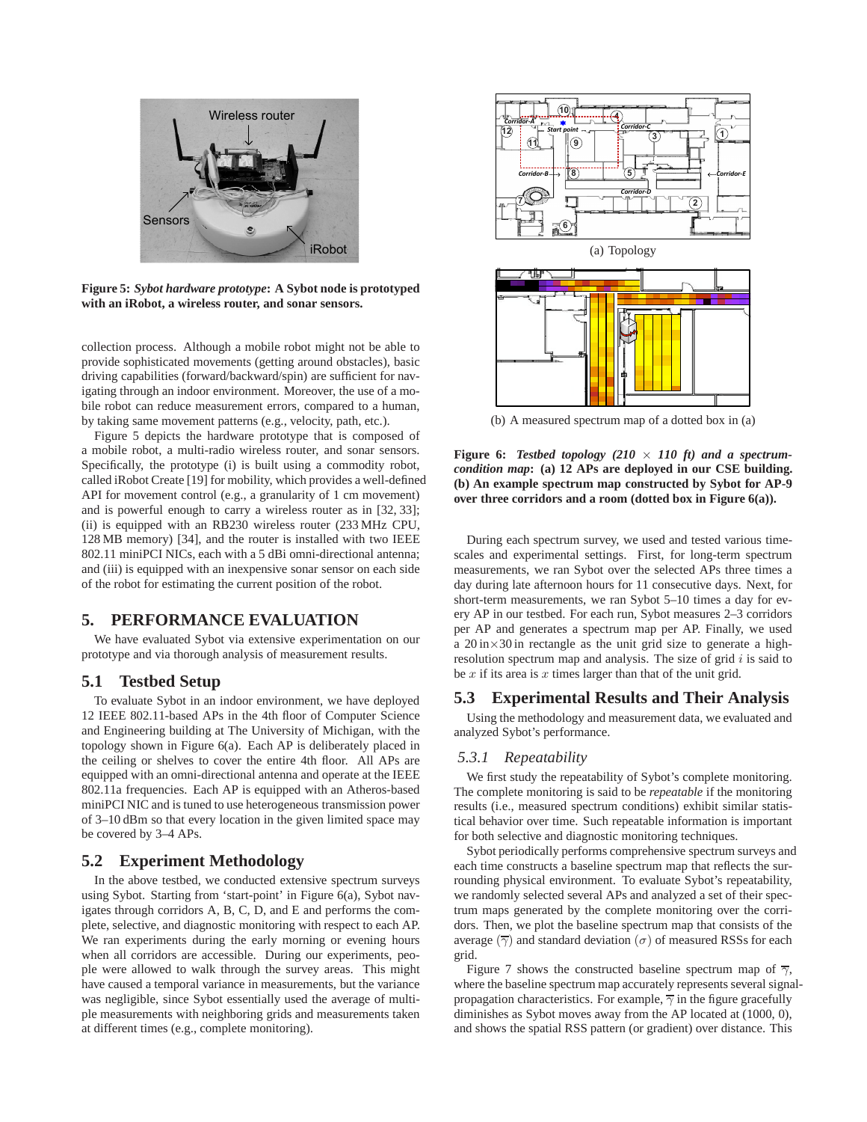

**Figure 5:** *Sybot hardware prototype***: A Sybot node is prototyped with an iRobot, a wireless router, and sonar sensors.**

collection process. Although a mobile robot might not be able to provide sophisticated movements (getting around obstacles), basic driving capabilities (forward/backward/spin) are sufficient for navigating through an indoor environment. Moreover, the use of a mobile robot can reduce measurement errors, compared to a human, by taking same movement patterns (e.g., velocity, path, etc.).

Figure 5 depicts the hardware prototype that is composed of a mobile robot, a multi-radio wireless router, and sonar sensors. Specifically, the prototype (i) is built using a commodity robot, called iRobot Create [19] for mobility, which provides a well-defined API for movement control (e.g., a granularity of 1 cm movement) and is powerful enough to carry a wireless router as in [32, 33]; (ii) is equipped with an RB230 wireless router (233 MHz CPU, 128 MB memory) [34], and the router is installed with two IEEE 802.11 miniPCI NICs, each with a 5 dBi omni-directional antenna; and (iii) is equipped with an inexpensive sonar sensor on each side of the robot for estimating the current position of the robot.

#### **5. PERFORMANCE EVALUATION**

We have evaluated Sybot via extensive experimentation on our prototype and via thorough analysis of measurement results.

#### **5.1 Testbed Setup**

To evaluate Sybot in an indoor environment, we have deployed 12 IEEE 802.11-based APs in the 4th floor of Computer Science and Engineering building at The University of Michigan, with the topology shown in Figure 6(a). Each AP is deliberately placed in the ceiling or shelves to cover the entire 4th floor. All APs are equipped with an omni-directional antenna and operate at the IEEE 802.11a frequencies. Each AP is equipped with an Atheros-based miniPCI NIC and is tuned to use heterogeneous transmission power of 3–10 dBm so that every location in the given limited space may be covered by 3–4 APs.

#### **5.2 Experiment Methodology**

In the above testbed, we conducted extensive spectrum surveys using Sybot. Starting from 'start-point' in Figure 6(a), Sybot navigates through corridors A, B, C, D, and E and performs the complete, selective, and diagnostic monitoring with respect to each AP. We ran experiments during the early morning or evening hours when all corridors are accessible. During our experiments, people were allowed to walk through the survey areas. This might have caused a temporal variance in measurements, but the variance was negligible, since Sybot essentially used the average of multiple measurements with neighboring grids and measurements taken at different times (e.g., complete monitoring).



(b) A measured spectrum map of a dotted box in (a)

**Figure 6:** Testbed topology (210  $\times$  110 ft) and a spectrum*condition map***: (a) 12 APs are deployed in our CSE building. (b) An example spectrum map constructed by Sybot for AP-9 over three corridors and a room (dotted box in Figure 6(a)).**

During each spectrum survey, we used and tested various timescales and experimental settings. First, for long-term spectrum measurements, we ran Sybot over the selected APs three times a day during late afternoon hours for 11 consecutive days. Next, for short-term measurements, we ran Sybot 5–10 times a day for every AP in our testbed. For each run, Sybot measures 2–3 corridors per AP and generates a spectrum map per AP. Finally, we used a  $20 \text{ in} \times 30 \text{ in}$  rectangle as the unit grid size to generate a highresolution spectrum map and analysis. The size of grid  $i$  is said to be  $x$  if its area is  $x$  times larger than that of the unit grid.

#### **5.3 Experimental Results and Their Analysis**

Using the methodology and measurement data, we evaluated and analyzed Sybot's performance.

#### *5.3.1 Repeatability*

We first study the repeatability of Sybot's complete monitoring. The complete monitoring is said to be *repeatable* if the monitoring results (i.e., measured spectrum conditions) exhibit similar statistical behavior over time. Such repeatable information is important for both selective and diagnostic monitoring techniques.

Sybot periodically performs comprehensive spectrum surveys and each time constructs a baseline spectrum map that reflects the surrounding physical environment. To evaluate Sybot's repeatability, we randomly selected several APs and analyzed a set of their spectrum maps generated by the complete monitoring over the corridors. Then, we plot the baseline spectrum map that consists of the average  $(\overline{\gamma})$  and standard deviation  $(\sigma)$  of measured RSSs for each grid.

Figure 7 shows the constructed baseline spectrum map of  $\overline{\gamma}$ , where the baseline spectrum map accurately represents several signalpropagation characteristics. For example,  $\overline{\gamma}$  in the figure gracefully diminishes as Sybot moves away from the AP located at (1000, 0), and shows the spatial RSS pattern (or gradient) over distance. This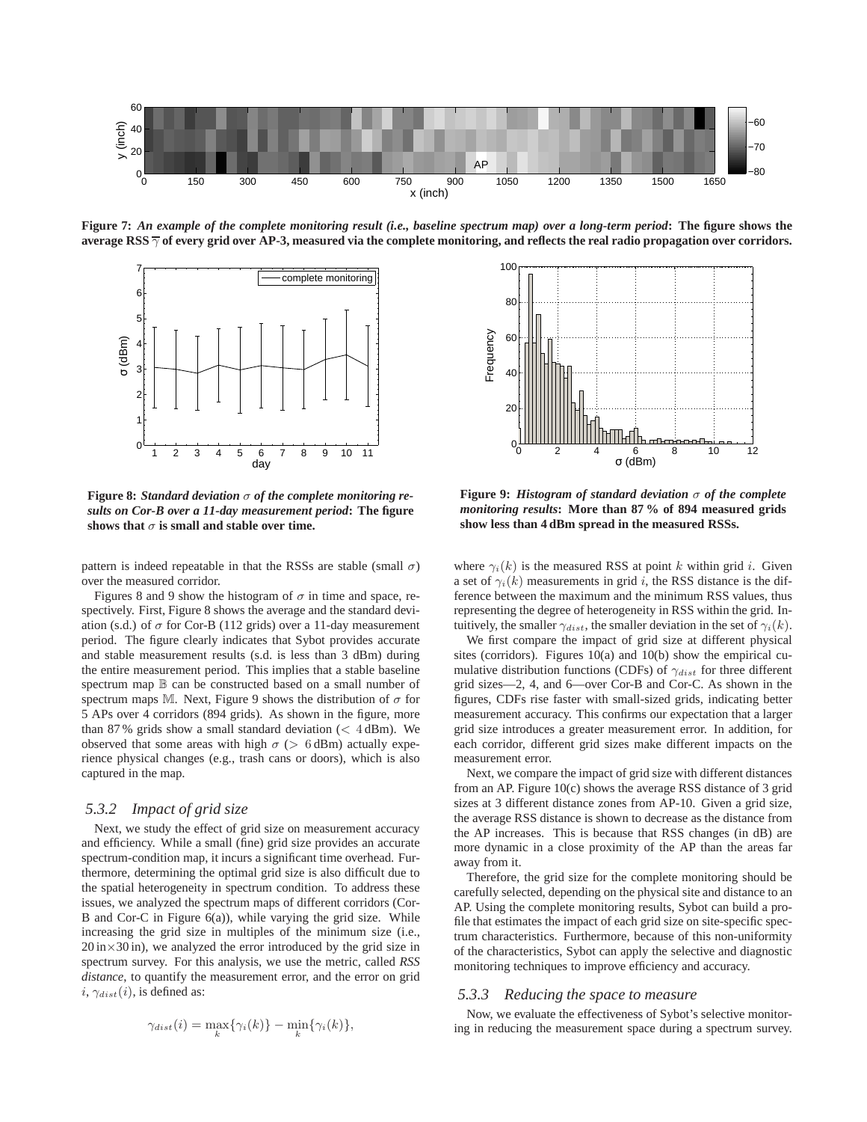

**Figure 7:** *An example of the complete monitoring result (i.e., baseline spectrum map) over a long-term period***: The figure shows the average RSS** γ **of every grid over AP-3, measured via the complete monitoring, and reflects the real radio propagation over corridors.**



**Figure 8:** *Standard deviation* σ *of the complete monitoring results on Cor-B over a 11-day measurement period***: The figure** shows that  $\sigma$  is small and stable over time.

pattern is indeed repeatable in that the RSSs are stable (small  $\sigma$ ) over the measured corridor.

Figures 8 and 9 show the histogram of  $\sigma$  in time and space, respectively. First, Figure 8 shows the average and the standard deviation (s.d.) of  $\sigma$  for Cor-B (112 grids) over a 11-day measurement period. The figure clearly indicates that Sybot provides accurate and stable measurement results (s.d. is less than 3 dBm) during the entire measurement period. This implies that a stable baseline spectrum map  $\mathbb B$  can be constructed based on a small number of spectrum maps M. Next, Figure 9 shows the distribution of  $\sigma$  for 5 APs over 4 corridors (894 grids). As shown in the figure, more than 87 % grids show a small standard deviation  $\zeta$  4 dBm). We observed that some areas with high  $\sigma$  ( $> 6$  dBm) actually experience physical changes (e.g., trash cans or doors), which is also captured in the map.

## *5.3.2 Impact of grid size*

Next, we study the effect of grid size on measurement accuracy and efficiency. While a small (fine) grid size provides an accurate spectrum-condition map, it incurs a significant time overhead. Furthermore, determining the optimal grid size is also difficult due to the spatial heterogeneity in spectrum condition. To address these issues, we analyzed the spectrum maps of different corridors (Cor-B and Cor-C in Figure 6(a)), while varying the grid size. While increasing the grid size in multiples of the minimum size (i.e.,  $20 \text{ in} \times 30 \text{ in}$ , we analyzed the error introduced by the grid size in spectrum survey. For this analysis, we use the metric, called *RSS distance*, to quantify the measurement error, and the error on grid  $i, \gamma_{dist}(i)$ , is defined as:

$$
\gamma_{dist}(i) = \max_{k} \{ \gamma_i(k) \} - \min_{k} \{ \gamma_i(k) \},
$$



**Figure 9:** *Histogram of standard deviation* σ *of the complete monitoring results***: More than 87 % of 894 measured grids show less than 4 dBm spread in the measured RSSs.**

where  $\gamma_i(k)$  is the measured RSS at point k within grid i. Given a set of  $\gamma_i(k)$  measurements in grid i, the RSS distance is the difference between the maximum and the minimum RSS values, thus representing the degree of heterogeneity in RSS within the grid. Intuitively, the smaller  $\gamma_{dist}$ , the smaller deviation in the set of  $\gamma_i(k)$ .

We first compare the impact of grid size at different physical sites (corridors). Figures 10(a) and 10(b) show the empirical cumulative distribution functions (CDFs) of  $\gamma_{dist}$  for three different grid sizes—2, 4, and 6—over Cor-B and Cor-C. As shown in the figures, CDFs rise faster with small-sized grids, indicating better measurement accuracy. This confirms our expectation that a larger grid size introduces a greater measurement error. In addition, for each corridor, different grid sizes make different impacts on the measurement error.

Next, we compare the impact of grid size with different distances from an AP. Figure 10(c) shows the average RSS distance of 3 grid sizes at 3 different distance zones from AP-10. Given a grid size, the average RSS distance is shown to decrease as the distance from the AP increases. This is because that RSS changes (in dB) are more dynamic in a close proximity of the AP than the areas far away from it.

Therefore, the grid size for the complete monitoring should be carefully selected, depending on the physical site and distance to an AP. Using the complete monitoring results, Sybot can build a profile that estimates the impact of each grid size on site-specific spectrum characteristics. Furthermore, because of this non-uniformity of the characteristics, Sybot can apply the selective and diagnostic monitoring techniques to improve efficiency and accuracy.

#### *5.3.3 Reducing the space to measure*

Now, we evaluate the effectiveness of Sybot's selective monitoring in reducing the measurement space during a spectrum survey.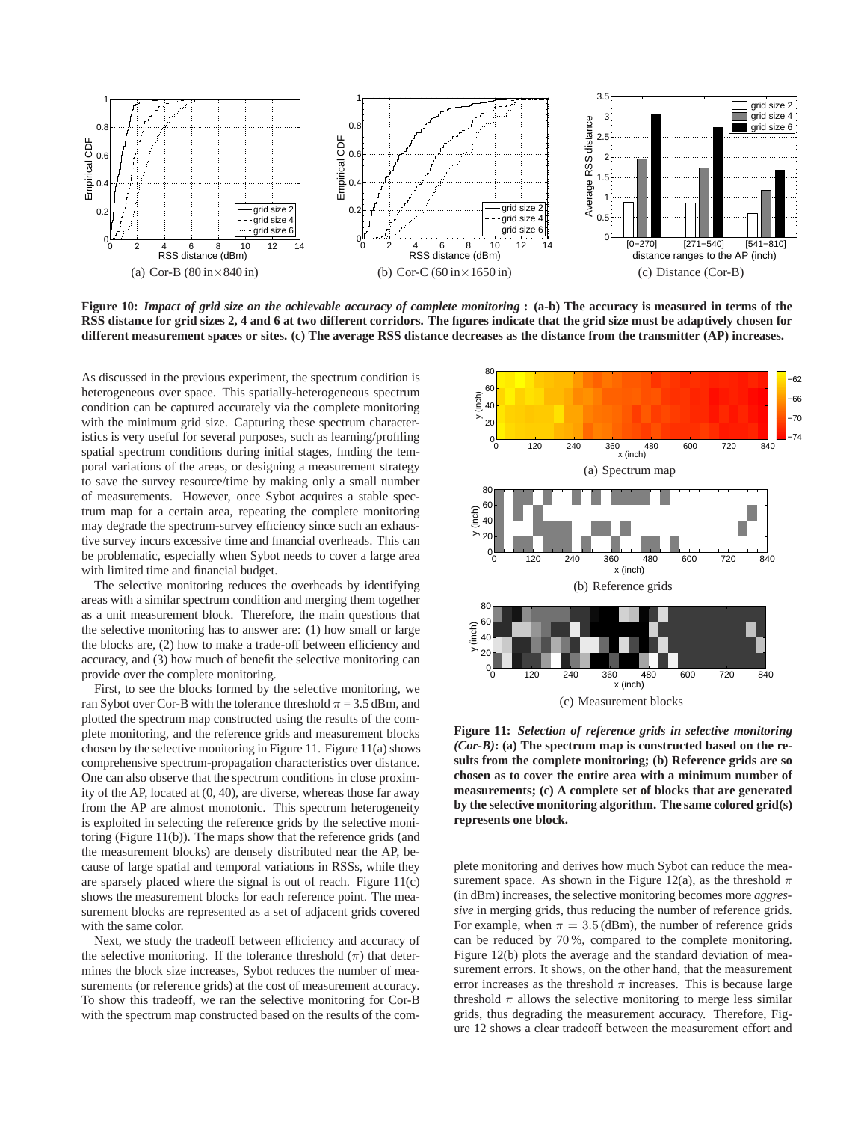

**Figure 10:** *Impact of grid size on the achievable accuracy of complete monitoring* **: (a-b) The accuracy is measured in terms of the RSS distance for grid sizes 2, 4 and 6 at two different corridors. The figures indicate that the grid size must be adaptively chosen for different measurement spaces or sites. (c) The average RSS distance decreases as the distance from the transmitter (AP) increases.**

As discussed in the previous experiment, the spectrum condition is heterogeneous over space. This spatially-heterogeneous spectrum condition can be captured accurately via the complete monitoring with the minimum grid size. Capturing these spectrum characteristics is very useful for several purposes, such as learning/profiling spatial spectrum conditions during initial stages, finding the temporal variations of the areas, or designing a measurement strategy to save the survey resource/time by making only a small number of measurements. However, once Sybot acquires a stable spectrum map for a certain area, repeating the complete monitoring may degrade the spectrum-survey efficiency since such an exhaustive survey incurs excessive time and financial overheads. This can be problematic, especially when Sybot needs to cover a large area with limited time and financial budget.

The selective monitoring reduces the overheads by identifying areas with a similar spectrum condition and merging them together as a unit measurement block. Therefore, the main questions that the selective monitoring has to answer are: (1) how small or large the blocks are, (2) how to make a trade-off between efficiency and accuracy, and (3) how much of benefit the selective monitoring can provide over the complete monitoring.

First, to see the blocks formed by the selective monitoring, we ran Sybot over Cor-B with the tolerance threshold  $\pi = 3.5$  dBm, and plotted the spectrum map constructed using the results of the complete monitoring, and the reference grids and measurement blocks chosen by the selective monitoring in Figure 11. Figure 11(a) shows comprehensive spectrum-propagation characteristics over distance. One can also observe that the spectrum conditions in close proximity of the AP, located at (0, 40), are diverse, whereas those far away from the AP are almost monotonic. This spectrum heterogeneity is exploited in selecting the reference grids by the selective monitoring (Figure 11(b)). The maps show that the reference grids (and the measurement blocks) are densely distributed near the AP, because of large spatial and temporal variations in RSSs, while they are sparsely placed where the signal is out of reach. Figure 11(c) shows the measurement blocks for each reference point. The measurement blocks are represented as a set of adjacent grids covered with the same color.

Next, we study the tradeoff between efficiency and accuracy of the selective monitoring. If the tolerance threshold  $(\pi)$  that determines the block size increases, Sybot reduces the number of measurements (or reference grids) at the cost of measurement accuracy. To show this tradeoff, we ran the selective monitoring for Cor-B with the spectrum map constructed based on the results of the com-



**Figure 11:** *Selection of reference grids in selective monitoring (Cor-B)***: (a) The spectrum map is constructed based on the results from the complete monitoring; (b) Reference grids are so chosen as to cover the entire area with a minimum number of measurements; (c) A complete set of blocks that are generated by the selective monitoring algorithm. The same colored grid(s) represents one block.**

plete monitoring and derives how much Sybot can reduce the measurement space. As shown in the Figure 12(a), as the threshold  $\pi$ (in dBm) increases, the selective monitoring becomes more *aggressive* in merging grids, thus reducing the number of reference grids. For example, when  $\pi = 3.5$  (dBm), the number of reference grids can be reduced by 70 %, compared to the complete monitoring. Figure 12(b) plots the average and the standard deviation of measurement errors. It shows, on the other hand, that the measurement error increases as the threshold  $\pi$  increases. This is because large threshold  $\pi$  allows the selective monitoring to merge less similar grids, thus degrading the measurement accuracy. Therefore, Figure 12 shows a clear tradeoff between the measurement effort and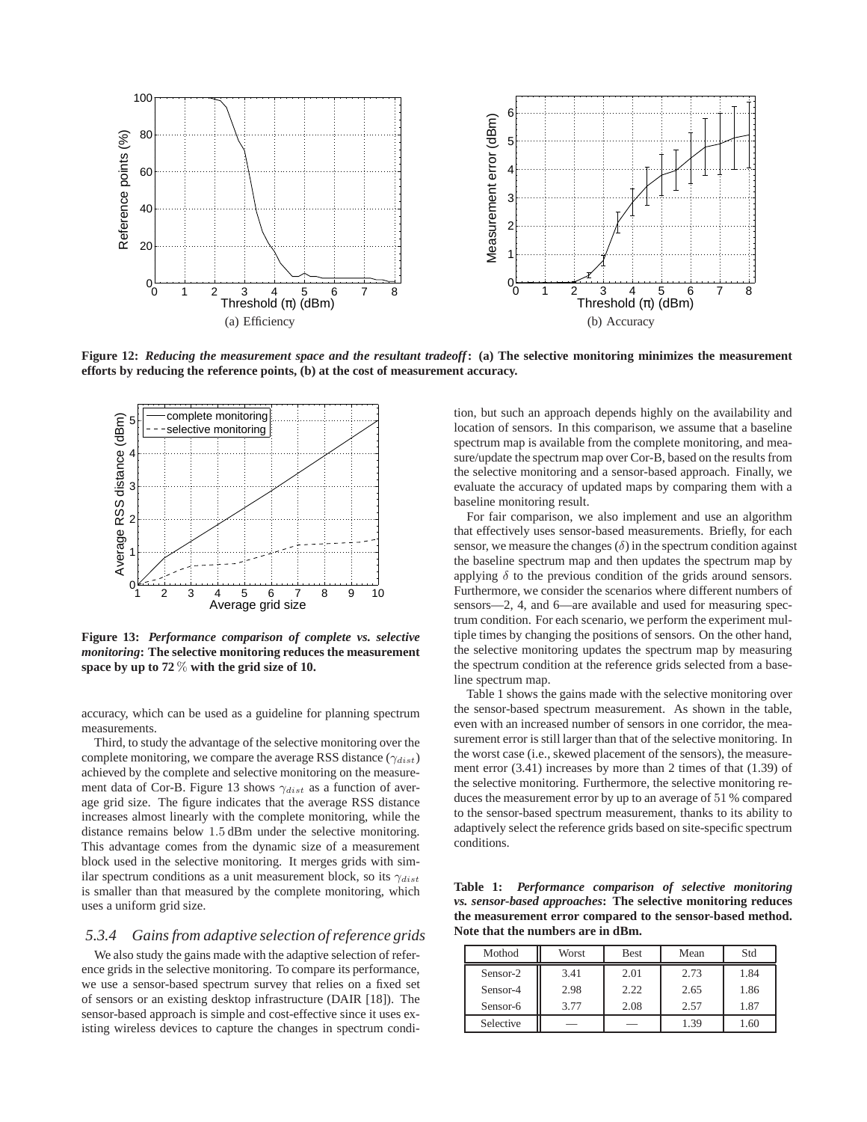

**Figure 12:** *Reducing the measurement space and the resultant tradeoff***: (a) The selective monitoring minimizes the measurement efforts by reducing the reference points, (b) at the cost of measurement accuracy.**



**Figure 13:** *Performance comparison of complete vs. selective monitoring***: The selective monitoring reduces the measurement space by up to 72** % **with the grid size of 10.**

accuracy, which can be used as a guideline for planning spectrum measurements.

Third, to study the advantage of the selective monitoring over the complete monitoring, we compare the average RSS distance ( $\gamma_{dist}$ ) achieved by the complete and selective monitoring on the measurement data of Cor-B. Figure 13 shows  $\gamma_{dist}$  as a function of average grid size. The figure indicates that the average RSS distance increases almost linearly with the complete monitoring, while the distance remains below 1.5 dBm under the selective monitoring. This advantage comes from the dynamic size of a measurement block used in the selective monitoring. It merges grids with similar spectrum conditions as a unit measurement block, so its  $\gamma_{dist}$ is smaller than that measured by the complete monitoring, which uses a uniform grid size.

#### *5.3.4 Gains from adaptive selection of reference grids*

We also study the gains made with the adaptive selection of reference grids in the selective monitoring. To compare its performance, we use a sensor-based spectrum survey that relies on a fixed set of sensors or an existing desktop infrastructure (DAIR [18]). The sensor-based approach is simple and cost-effective since it uses existing wireless devices to capture the changes in spectrum condition, but such an approach depends highly on the availability and location of sensors. In this comparison, we assume that a baseline spectrum map is available from the complete monitoring, and measure/update the spectrum map over Cor-B, based on the results from the selective monitoring and a sensor-based approach. Finally, we evaluate the accuracy of updated maps by comparing them with a baseline monitoring result.

For fair comparison, we also implement and use an algorithm that effectively uses sensor-based measurements. Briefly, for each sensor, we measure the changes  $(\delta)$  in the spectrum condition against the baseline spectrum map and then updates the spectrum map by applying  $\delta$  to the previous condition of the grids around sensors. Furthermore, we consider the scenarios where different numbers of sensors—2, 4, and 6—are available and used for measuring spectrum condition. For each scenario, we perform the experiment multiple times by changing the positions of sensors. On the other hand, the selective monitoring updates the spectrum map by measuring the spectrum condition at the reference grids selected from a baseline spectrum map.

Table 1 shows the gains made with the selective monitoring over the sensor-based spectrum measurement. As shown in the table, even with an increased number of sensors in one corridor, the measurement error is still larger than that of the selective monitoring. In the worst case (i.e., skewed placement of the sensors), the measurement error (3.41) increases by more than 2 times of that (1.39) of the selective monitoring. Furthermore, the selective monitoring reduces the measurement error by up to an average of 51 % compared to the sensor-based spectrum measurement, thanks to its ability to adaptively select the reference grids based on site-specific spectrum conditions.

**Table 1:** *Performance comparison of selective monitoring vs. sensor-based approaches***: The selective monitoring reduces the measurement error compared to the sensor-based method. Note that the numbers are in dBm.**

| Mothod    | Worst | <b>Best</b> | Mean | Std  |
|-----------|-------|-------------|------|------|
| Sensor-2  | 3.41  | 2.01        | 2.73 | 1.84 |
| Sensor-4  | 2.98  | 2.22        | 2.65 | 1.86 |
| Sensor-6  | 3.77  | 2.08        | 2.57 | 1.87 |
| Selective |       |             | 1.39 | .60  |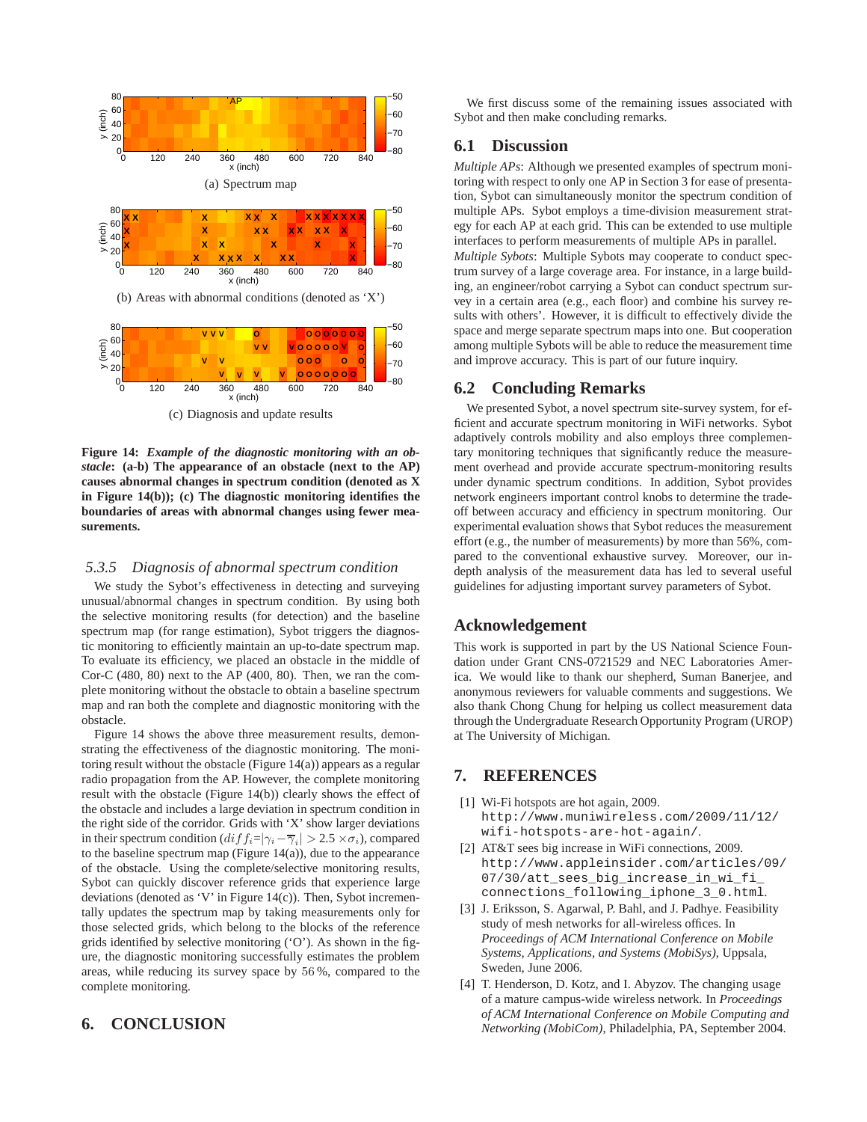

(c) Diagnosis and update results

**Figure 14:** *Example of the diagnostic monitoring with an obstacle***: (a-b) The appearance of an obstacle (next to the AP) causes abnormal changes in spectrum condition (denoted as X in Figure 14(b)); (c) The diagnostic monitoring identifies the boundaries of areas with abnormal changes using fewer measurements.**

#### *5.3.5 Diagnosis of abnormal spectrum condition*

We study the Sybot's effectiveness in detecting and surveying unusual/abnormal changes in spectrum condition. By using both the selective monitoring results (for detection) and the baseline spectrum map (for range estimation), Sybot triggers the diagnostic monitoring to efficiently maintain an up-to-date spectrum map. To evaluate its efficiency, we placed an obstacle in the middle of Cor-C (480, 80) next to the AP (400, 80). Then, we ran the complete monitoring without the obstacle to obtain a baseline spectrum map and ran both the complete and diagnostic monitoring with the obstacle.

Figure 14 shows the above three measurement results, demonstrating the effectiveness of the diagnostic monitoring. The monitoring result without the obstacle (Figure 14(a)) appears as a regular radio propagation from the AP. However, the complete monitoring result with the obstacle (Figure 14(b)) clearly shows the effect of the obstacle and includes a large deviation in spectrum condition in the right side of the corridor. Grids with 'X' show larger deviations in their spectrum condition  $\left( diff_{i} = |\gamma_{i} - \overline{\gamma}_{i}| > 2.5 \times \sigma_{i} \right)$ , compared to the baseline spectrum map (Figure 14(a)), due to the appearance of the obstacle. Using the complete/selective monitoring results, Sybot can quickly discover reference grids that experience large deviations (denoted as 'V' in Figure 14(c)). Then, Sybot incrementally updates the spectrum map by taking measurements only for those selected grids, which belong to the blocks of the reference grids identified by selective monitoring  $(°O')$ . As shown in the figure, the diagnostic monitoring successfully estimates the problem areas, while reducing its survey space by 56 %, compared to the complete monitoring.

## **6. CONCLUSION**

We first discuss some of the remaining issues associated with Sybot and then make concluding remarks.

## **6.1 Discussion**

*Multiple APs*: Although we presented examples of spectrum monitoring with respect to only one AP in Section 3 for ease of presentation, Sybot can simultaneously monitor the spectrum condition of multiple APs. Sybot employs a time-division measurement strategy for each AP at each grid. This can be extended to use multiple interfaces to perform measurements of multiple APs in parallel. *Multiple Sybots*: Multiple Sybots may cooperate to conduct spectrum survey of a large coverage area. For instance, in a large building, an engineer/robot carrying a Sybot can conduct spectrum survey in a certain area (e.g., each floor) and combine his survey results with others'. However, it is difficult to effectively divide the space and merge separate spectrum maps into one. But cooperation among multiple Sybots will be able to reduce the measurement time and improve accuracy. This is part of our future inquiry.

## **6.2 Concluding Remarks**

We presented Sybot, a novel spectrum site-survey system, for efficient and accurate spectrum monitoring in WiFi networks. Sybot adaptively controls mobility and also employs three complementary monitoring techniques that significantly reduce the measurement overhead and provide accurate spectrum-monitoring results under dynamic spectrum conditions. In addition, Sybot provides network engineers important control knobs to determine the tradeoff between accuracy and efficiency in spectrum monitoring. Our experimental evaluation shows that Sybot reduces the measurement effort (e.g., the number of measurements) by more than 56%, compared to the conventional exhaustive survey. Moreover, our indepth analysis of the measurement data has led to several useful guidelines for adjusting important survey parameters of Sybot.

## **Acknowledgement**

This work is supported in part by the US National Science Foundation under Grant CNS-0721529 and NEC Laboratories America. We would like to thank our shepherd, Suman Banerjee, and anonymous reviewers for valuable comments and suggestions. We also thank Chong Chung for helping us collect measurement data through the Undergraduate Research Opportunity Program (UROP) at The University of Michigan.

## **7. REFERENCES**

- [1] Wi-Fi hotspots are hot again, 2009. http://www.muniwireless.com/2009/11/12/
	- wifi-hotspots-are-hot-again/.
- [2] AT&T sees big increase in WiFi connections, 2009. http://www.appleinsider.com/articles/09/ 07/30/att\_sees\_big\_increase\_in\_wi\_fi\_ connections\_following\_iphone\_3\_0.html.
- [3] J. Eriksson, S. Agarwal, P. Bahl, and J. Padhye. Feasibility study of mesh networks for all-wireless offices. In *Proceedings of ACM International Conference on Mobile Systems, Applications, and Systems (MobiSys)*, Uppsala, Sweden, June 2006.
- [4] T. Henderson, D. Kotz, and I. Abyzov. The changing usage of a mature campus-wide wireless network. In *Proceedings of ACM International Conference on Mobile Computing and Networking (MobiCom)*, Philadelphia, PA, September 2004.